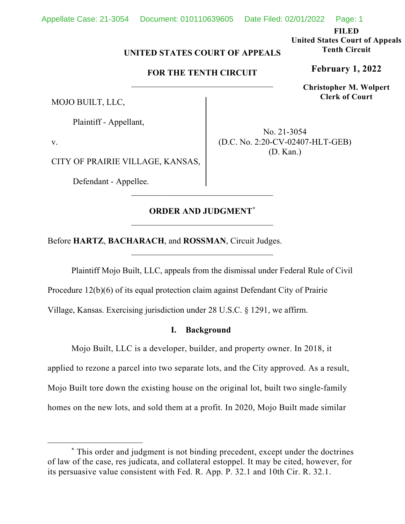## Appellate Case: 21-3054 Document: 010110639605 Date Filed: 02/01/2022 Page: 1

**FILED**

**United States Court of Appeals Tenth Circuit**

**February 1, 2022**

**Christopher M. Wolpert Clerk of Court**

# **UNITED STATES COURT OF APPEALS**

# **FOR THE TENTH CIRCUIT** \_\_\_\_\_\_\_\_\_\_\_\_\_\_\_\_\_\_\_\_\_\_\_\_\_\_\_\_\_\_\_\_\_

MOJO BUILT, LLC,

Plaintiff - Appellant,

v.

CITY OF PRAIRIE VILLAGE, KANSAS,

Defendant - Appellee.

No. 21-3054 (D.C. No. 2:20-CV-02407-HLT-GEB) (D. Kan.)

# **ORDER AND JUDGMENT[\\*](#page-0-0)**  $\overline{\phantom{a}}$  , where  $\overline{\phantom{a}}$  , where  $\overline{\phantom{a}}$  ,  $\overline{\phantom{a}}$  ,  $\overline{\phantom{a}}$  ,  $\overline{\phantom{a}}$  ,  $\overline{\phantom{a}}$  ,  $\overline{\phantom{a}}$  ,  $\overline{\phantom{a}}$  ,  $\overline{\phantom{a}}$  ,  $\overline{\phantom{a}}$  ,  $\overline{\phantom{a}}$  ,  $\overline{\phantom{a}}$  ,  $\overline{\phantom{a}}$  ,  $\overline{\phantom{a}}$  ,

\_\_\_\_\_\_\_\_\_\_\_\_\_\_\_\_\_\_\_\_\_\_\_\_\_\_\_\_\_\_\_\_\_

\_\_\_\_\_\_\_\_\_\_\_\_\_\_\_\_\_\_\_\_\_\_\_\_\_\_\_\_\_\_\_\_\_

Before **HARTZ**, **BACHARACH**, and **ROSSMAN**, Circuit Judges.

Plaintiff Mojo Built, LLC, appeals from the dismissal under Federal Rule of Civil

Procedure 12(b)(6) of its equal protection claim against Defendant City of Prairie

Village, Kansas. Exercising jurisdiction under 28 U.S.C. § 1291, we affirm.

## **I. Background**

Mojo Built, LLC is a developer, builder, and property owner. In 2018, it applied to rezone a parcel into two separate lots, and the City approved. As a result, Mojo Built tore down the existing house on the original lot, built two single-family homes on the new lots, and sold them at a profit. In 2020, Mojo Built made similar

<span id="page-0-0"></span><sup>\*</sup> This order and judgment is not binding precedent, except under the doctrines of law of the case, res judicata, and collateral estoppel. It may be cited, however, for its persuasive value consistent with Fed. R. App. P. 32.1 and 10th Cir. R. 32.1.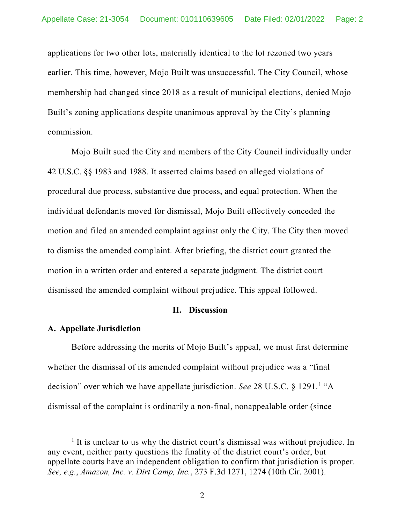applications for two other lots, materially identical to the lot rezoned two years earlier. This time, however, Mojo Built was unsuccessful. The City Council, whose membership had changed since 2018 as a result of municipal elections, denied Mojo Built's zoning applications despite unanimous approval by the City's planning commission.

Mojo Built sued the City and members of the City Council individually under 42 U.S.C. §§ 1983 and 1988. It asserted claims based on alleged violations of procedural due process, substantive due process, and equal protection. When the individual defendants moved for dismissal, Mojo Built effectively conceded the motion and filed an amended complaint against only the City. The City then moved to dismiss the amended complaint. After briefing, the district court granted the motion in a written order and entered a separate judgment. The district court dismissed the amended complaint without prejudice. This appeal followed.

#### **II. Discussion**

## **A. Appellate Jurisdiction**

Before addressing the merits of Mojo Built's appeal, we must first determine whether the dismissal of its amended complaint without prejudice was a "final decision" over which we have appellate jurisdiction. *See* 28 U.S.C. § 1291. [1](#page-1-0) "A dismissal of the complaint is ordinarily a non-final, nonappealable order (since

<span id="page-1-0"></span> $<sup>1</sup>$  It is unclear to us why the district court's dismissal was without prejudice. In</sup> any event, neither party questions the finality of the district court's order, but appellate courts have an independent obligation to confirm that jurisdiction is proper. *See, e.g.*, *Amazon, Inc. v. Dirt Camp, Inc.*, 273 F.3d 1271, 1274 (10th Cir. 2001).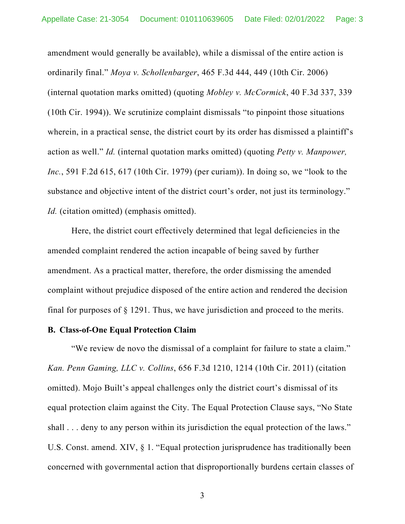amendment would generally be available), while a dismissal of the entire action is ordinarily final." *Moya v. Schollenbarger*, 465 F.3d 444, 449 (10th Cir. 2006) (internal quotation marks omitted) (quoting *Mobley v. McCormick*, 40 F.3d 337, 339 (10th Cir. 1994)). We scrutinize complaint dismissals "to pinpoint those situations wherein, in a practical sense, the district court by its order has dismissed a plaintiff's action as well." *Id.* (internal quotation marks omitted) (quoting *Petty v. Manpower, Inc.*, 591 F.2d 615, 617 (10th Cir. 1979) (per curiam)). In doing so, we "look to the substance and objective intent of the district court's order, not just its terminology." *Id.* (citation omitted) (emphasis omitted).

Here, the district court effectively determined that legal deficiencies in the amended complaint rendered the action incapable of being saved by further amendment. As a practical matter, therefore, the order dismissing the amended complaint without prejudice disposed of the entire action and rendered the decision final for purposes of § 1291. Thus, we have jurisdiction and proceed to the merits.

#### **B. Class-of-One Equal Protection Claim**

"We review de novo the dismissal of a complaint for failure to state a claim." *Kan. Penn Gaming, LLC v. Collins*, 656 F.3d 1210, 1214 (10th Cir. 2011) (citation omitted). Mojo Built's appeal challenges only the district court's dismissal of its equal protection claim against the City. The Equal Protection Clause says, "No State shall . . . deny to any person within its jurisdiction the equal protection of the laws." U.S. Const. amend. XIV, § 1. "Equal protection jurisprudence has traditionally been concerned with governmental action that disproportionally burdens certain classes of

3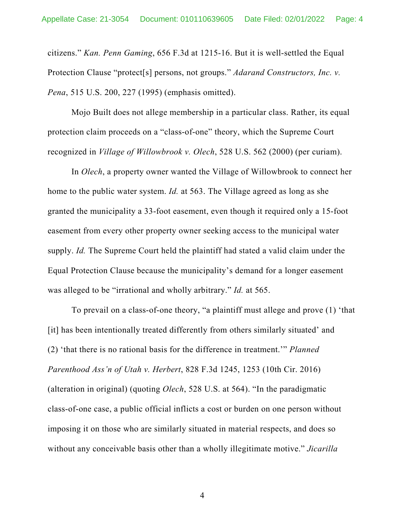citizens." *Kan. Penn Gaming*, 656 F.3d at 1215-16. But it is well-settled the Equal Protection Clause "protect[s] persons, not groups." *Adarand Constructors, Inc. v. Pena*, 515 U.S. 200, 227 (1995) (emphasis omitted).

Mojo Built does not allege membership in a particular class. Rather, its equal protection claim proceeds on a "class-of-one" theory, which the Supreme Court recognized in *Village of Willowbrook v. Olech*, 528 U.S. 562 (2000) (per curiam).

In *Olech*, a property owner wanted the Village of Willowbrook to connect her home to the public water system. *Id.* at 563. The Village agreed as long as she granted the municipality a 33-foot easement, even though it required only a 15-foot easement from every other property owner seeking access to the municipal water supply. *Id.* The Supreme Court held the plaintiff had stated a valid claim under the Equal Protection Clause because the municipality's demand for a longer easement was alleged to be "irrational and wholly arbitrary." *Id.* at 565.

To prevail on a class-of-one theory, "a plaintiff must allege and prove (1) 'that [it] has been intentionally treated differently from others similarly situated' and (2) 'that there is no rational basis for the difference in treatment.'" *Planned Parenthood Ass'n of Utah v. Herbert*, 828 F.3d 1245, 1253 (10th Cir. 2016) (alteration in original) (quoting *Olech*, 528 U.S. at 564). "In the paradigmatic class-of-one case, a public official inflicts a cost or burden on one person without imposing it on those who are similarly situated in material respects, and does so without any conceivable basis other than a wholly illegitimate motive." *Jicarilla* 

4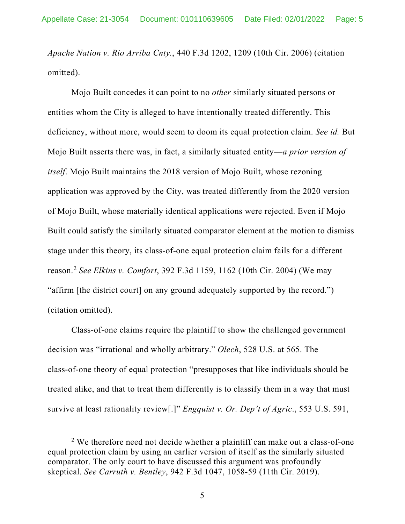*Apache Nation v. Rio Arriba Cnty.*, 440 F.3d 1202, 1209 (10th Cir. 2006) (citation omitted).

Mojo Built concedes it can point to no *other* similarly situated persons or entities whom the City is alleged to have intentionally treated differently. This deficiency, without more, would seem to doom its equal protection claim. *See id.* But Mojo Built asserts there was, in fact, a similarly situated entity—*a prior version of itself*. Mojo Built maintains the 2018 version of Mojo Built, whose rezoning application was approved by the City, was treated differently from the 2020 version of Mojo Built, whose materially identical applications were rejected. Even if Mojo Built could satisfy the similarly situated comparator element at the motion to dismiss stage under this theory, its class-of-one equal protection claim fails for a different reason.[2](#page-4-0) *See Elkins v. Comfort*, 392 F.3d 1159, 1162 (10th Cir. 2004) (We may "affirm [the district court] on any ground adequately supported by the record.") (citation omitted).

Class-of-one claims require the plaintiff to show the challenged government decision was "irrational and wholly arbitrary." *Olech*, 528 U.S. at 565. The class-of-one theory of equal protection "presupposes that like individuals should be treated alike, and that to treat them differently is to classify them in a way that must survive at least rationality review[.]" *Engquist v. Or. Dep't of Agric*., 553 U.S. 591,

<span id="page-4-0"></span> $2$  We therefore need not decide whether a plaintiff can make out a class-of-one equal protection claim by using an earlier version of itself as the similarly situated comparator. The only court to have discussed this argument was profoundly skeptical. *See Carruth v. Bentley*, 942 F.3d 1047, 1058-59 (11th Cir. 2019).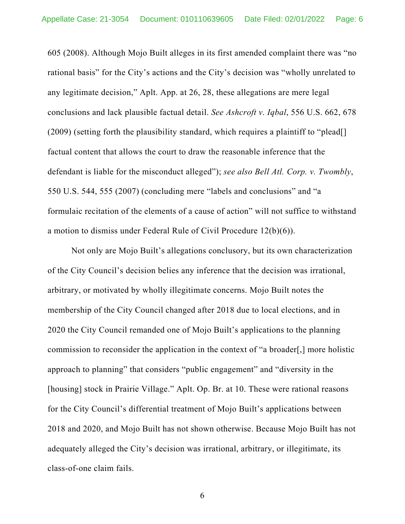605 (2008). Although Mojo Built alleges in its first amended complaint there was "no rational basis" for the City's actions and the City's decision was "wholly unrelated to any legitimate decision," Aplt. App. at 26, 28, these allegations are mere legal conclusions and lack plausible factual detail. *See Ashcroft v. Iqbal*, 556 U.S. 662, 678 (2009) (setting forth the plausibility standard, which requires a plaintiff to "plead[] factual content that allows the court to draw the reasonable inference that the defendant is liable for the misconduct alleged"); *see also Bell Atl. Corp. v. Twombly*, 550 U.S. 544, 555 (2007) (concluding mere "labels and conclusions" and "a formulaic recitation of the elements of a cause of action" will not suffice to withstand a motion to dismiss under Federal Rule of Civil Procedure 12(b)(6)).

Not only are Mojo Built's allegations conclusory, but its own characterization of the City Council's decision belies any inference that the decision was irrational, arbitrary, or motivated by wholly illegitimate concerns. Mojo Built notes the membership of the City Council changed after 2018 due to local elections, and in 2020 the City Council remanded one of Mojo Built's applications to the planning commission to reconsider the application in the context of "a broader[,] more holistic approach to planning" that considers "public engagement" and "diversity in the [housing] stock in Prairie Village." Aplt. Op. Br. at 10. These were rational reasons for the City Council's differential treatment of Mojo Built's applications between 2018 and 2020, and Mojo Built has not shown otherwise. Because Mojo Built has not adequately alleged the City's decision was irrational, arbitrary, or illegitimate, its class-of-one claim fails.

6